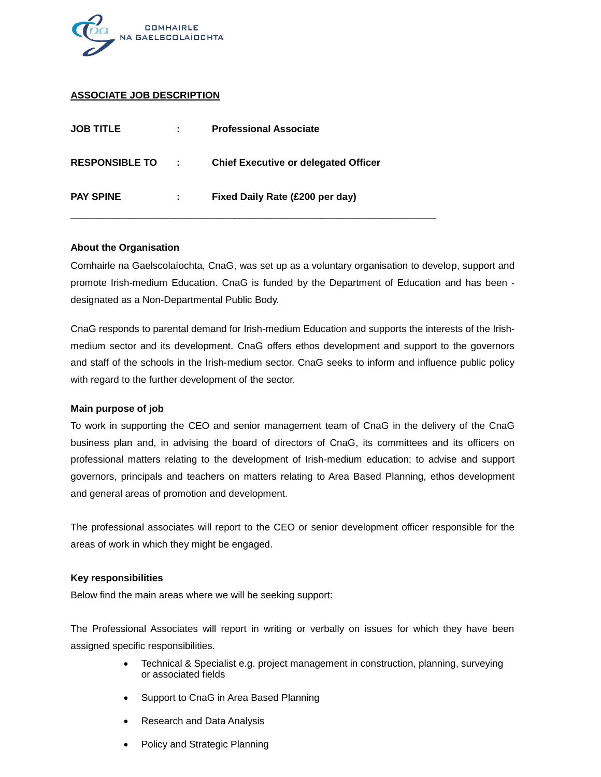

## **ASSOCIATE JOB DESCRIPTION**

| <b>JOB TITLE</b>      | ÷    | <b>Professional Associate</b>               |
|-----------------------|------|---------------------------------------------|
| <b>RESPONSIBLE TO</b> | - 10 | <b>Chief Executive or delegated Officer</b> |
| <b>PAY SPINE</b>      | ÷    | Fixed Daily Rate (£200 per day)             |

#### **About the Organisation**

Comhairle na Gaelscolaíochta, CnaG, was set up as a voluntary organisation to develop, support and promote Irish-medium Education. CnaG is funded by the Department of Education and has been designated as a Non-Departmental Public Body.

CnaG responds to parental demand for Irish-medium Education and supports the interests of the Irishmedium sector and its development. CnaG offers ethos development and support to the governors and staff of the schools in the Irish-medium sector. CnaG seeks to inform and influence public policy with regard to the further development of the sector.

#### **Main purpose of job**

To work in supporting the CEO and senior management team of CnaG in the delivery of the CnaG business plan and, in advising the board of directors of CnaG, its committees and its officers on professional matters relating to the development of Irish-medium education; to advise and support governors, principals and teachers on matters relating to Area Based Planning, ethos development and general areas of promotion and development.

The professional associates will report to the CEO or senior development officer responsible for the areas of work in which they might be engaged.

#### **Key responsibilities**

Below find the main areas where we will be seeking support:

The Professional Associates will report in writing or verbally on issues for which they have been assigned specific responsibilities.

- Technical & Specialist e.g. project management in construction, planning, surveying or associated fields
- Support to CnaG in Area Based Planning
- Research and Data Analysis
- Policy and Strategic Planning